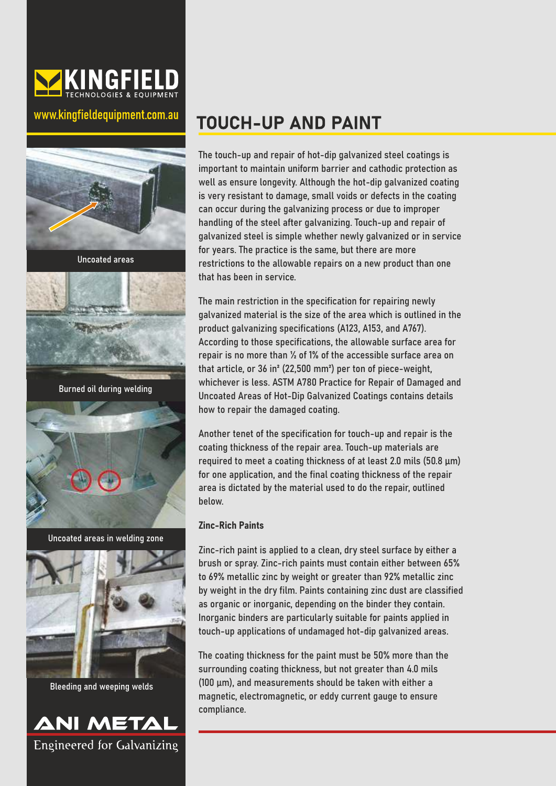

### www.kingfieldequipment.com.au





Bleeding and weeping welds



# **TOUCH-UP AND PAINT**

The touch-up and repair of hot-dip galvanized steel coatings is important to maintain uniform barrier and cathodic protection as well as ensure longevity. Although the hot-dip galvanized coating is very resistant to damage, small voids or defects in the coating can occur during the galvanizing process or due to improper handling of the steel after galvanizing. Touch-up and repair of galvanized steel is simple whether newly galvanized or in service for years. The practice is the same, but there are more restrictions to the allowable repairs on a new product than one that has been in service.

The main restriction in the specification for repairing newly galvanized material is the size of the area which is outlined in the product galvanizing specifications (A123, A153, and A767). According to those specifications, the allowable surface area for repair is no more than ½ of 1% of the accessible surface area on that article, or 36 in² (22,500 mm²) per ton of piece-weight, whichever is less. ASTM A780 Practice for Repair of Damaged and Uncoated Areas of Hot-Dip Galvanized Coatings contains details how to repair the damaged coating.

Another tenet of the specification for touch-up and repair is the coating thickness of the repair area. Touch-up materials are required to meet a coating thickness of at least 2.0 mils (50.8 µm) for one application, and the final coating thickness of the repair area is dictated by the material used to do the repair, outlined below.

#### Zinc-Rich Paints

Zinc-rich paint is applied to a clean, dry steel surface by either a brush or spray. Zinc-rich paints must contain either between 65% to 69% metallic zinc by weight or greater than 92% metallic zinc by weight in the dry film. Paints containing zinc dust are classified as organic or inorganic, depending on the binder they contain. Inorganic binders are particularly suitable for paints applied in touch-up applications of undamaged hot-dip galvanized areas.

The coating thickness for the paint must be 50% more than the surrounding coating thickness, but not greater than 4.0 mils (100 µm), and measurements should be taken with either a magnetic, electromagnetic, or eddy current gauge to ensure compliance.